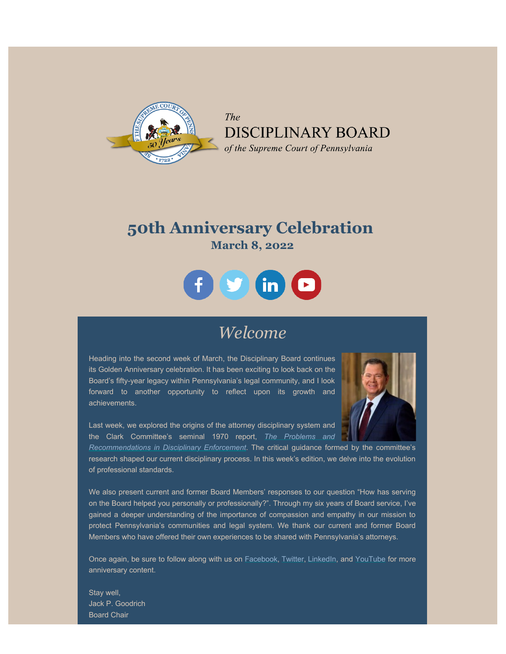

The DISCIPLINARY BOARD of the Supreme Court of Pennsylvania

### **50th Anniversary Celebration March 8, 2022**



### *Welcome*

Heading into the second week of March, the Disciplinary Board continues its Golden Anniversary celebration. It has been exciting to look back on the Board's fifty-year legacy within Pennsylvania's legal community, and I look forward to another opportunity to reflect upon its growth and achievements.

Last week, we explored the origins of the attorney disciplinary system and the Clark Committee's seminal 1970 report, *[The Problems and](https://www.americanbar.org/content/dam/aba/administrative/professional_responsibility/2011build/clark_report.pdf)*



*[Recommendations in Disciplinary Enforcement](https://www.americanbar.org/content/dam/aba/administrative/professional_responsibility/2011build/clark_report.pdf)*. The critical guidance formed by the committee's research shaped our current disciplinary process. In this week's edition, we delve into the evolution of professional standards.

We also present current and former Board Members' responses to our question "How has serving on the Board helped you personally or professionally?". Through my six years of Board service, I've gained a deeper understanding of the importance of compassion and empathy in our mission to protect Pennsylvania's communities and legal system. We thank our current and former Board Members who have offered their own experiences to be shared with Pennsylvania's attorneys.

Once again, be sure to follow along with us on [Facebook](https://www.facebook.com/DBoardPA), [Twitter,](https://twitter.com/DBoardPA) [LinkedIn](https://www.linkedin.com/company/pennsylvania-disciplinary-board), and [YouTube](https://www.youtube.com/channel/UC7Rzfgcm91b2y3TRTXAViHw) for more anniversary content.

Stay well, Jack P. Goodrich Board Chair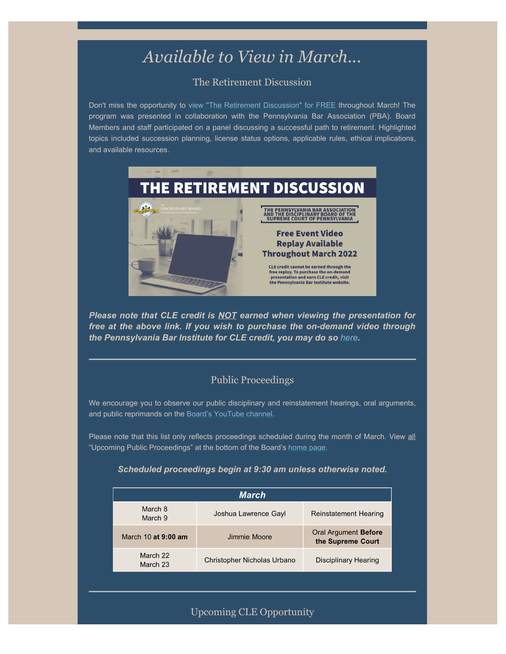# *Available to View in March...*

#### The Retirement Discussion

Don't miss the opportunity to view ["The Retirement Discussion" for FREE](https://www.pbi.org/Meetings/Meeting.aspx?ID=43006) throughout March! The program was presented in collaboration with the Pennsylvania Bar Association (PBA). Board Members and staff participated on a panel discussing a successful path to retirement. Highlighted topics included succession planning, license status options, applicable rules, ethical implications, and available resources.



*Please note that CLE credit is NOT earned when viewing the presentation for free at the above link. If you wish to purchase the on-demand video through the Pennsylvania Bar Institute for CLE credit, you may do so [here](https://www.pbi.org/Meetings/Meeting.aspx?ID=40925).*

#### Public Proceedings

We encourage you to observe our public disciplinary and reinstatement hearings, oral arguments, and public reprimands on the [Board's YouTube channel.](https://www.youtube.com/channel/UC7Rzfgcm91b2y3TRTXAViHw)

Please note that this list only reflects proceedings scheduled during the month of March. View all "Upcoming Public Proceedings" at the bottom of the Board's [home page](http://www.padisciplinaryboard.org/).

#### *Scheduled proceedings begin at 9:30 am unless otherwise noted.*

| March                |                             |                                           |
|----------------------|-----------------------------|-------------------------------------------|
| March 8<br>March 9   | Joshua Lawrence Gayl        | <b>Reinstatement Hearing</b>              |
| March 10 at 9:00 am  | Jimmie Moore                | Oral Argument Before<br>the Supreme Court |
| March 22<br>March 23 | Christopher Nicholas Urbano | <b>Disciplinary Hearing</b>               |

#### Upcoming CLE Opportunity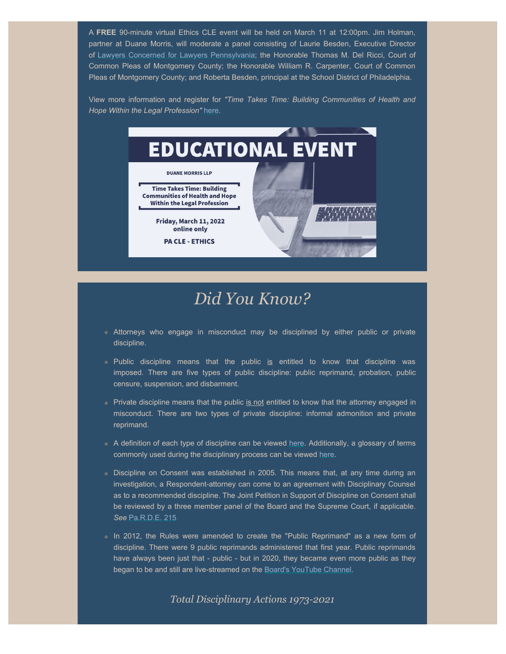A **FREE** 90-minute virtual Ethics CLE event will be held on March 11 at 12:00pm. Jim Holman, partner at Duane Morris, will moderate a panel consisting of Laurie Besden, Executive Director of [Lawyers Concerned for Lawyers Pennsylvania](https://www.lclpa.org/); the Honorable Thomas M. Del Ricci, Court of Common Pleas of Montgomery County; the Honorable William R. Carpenter, Court of Common Pleas of Montgomery County; and Roberta Besden, principal at the School District of Philadelphia.

View more information and register for *"Time Takes Time: Building Communities of Health and Hope Within the Legal Profession"* [here](https://sites-duanemorris.vuturevx.com/34/2614/february-2022/2022-03-11-thrive-webinar-generic.asp?sid=2a06f86c-1dc2-455b-af5e-0be76bcf385e).



# *Did You Know?*

- Attorneys who engage in misconduct may be disciplined by either public or private discipline.
- Public discipline means that the public is entitled to know that discipline was imposed. There are five types of public discipline: public reprimand, probation, public censure, suspension, and disbarment.
- Private discipline means that the public is not entitled to know that the attorney engaged in misconduct. There are two types of private discipline: informal admonition and private reprimand.
- A definition of each type of discipline can be viewed [here](https://www.padisciplinaryboard.org/for-the-public/resources/#21). Additionally, a glossary of terms commonly used during the disciplinary process can be viewed [here.](https://www.padisciplinaryboard.org/for-the-public/resources/glossary)
- Discipline on Consent was established in 2005. This means that, at any time during an investigation, a Respondent-attorney can come to an agreement with Disciplinary Counsel as to a recommended discipline. The Joint Petition in Support of Discipline on Consent shall be reviewed by a three member panel of the Board and the Supreme Court, if applicable. *See* [Pa.R.D.E. 215](https://www.padisciplinaryboard.org/for-attorneys/rules/rule/5/the-pennsylvania-rules-of-disciplinary-enforcement#rule-31).
- In 2012, the Rules were amended to create the "Public Reprimand" as a new form of discipline. There were 9 public reprimands administered that first year. Public reprimands have always been just that - public - but in 2020, they became even more public as they began to be and still are live-streamed on the [Board's YouTube Channel](https://www.youtube.com/channel/UC7Rzfgcm91b2y3TRTXAViHw).

*Total Disciplinary Actions 1973-2021*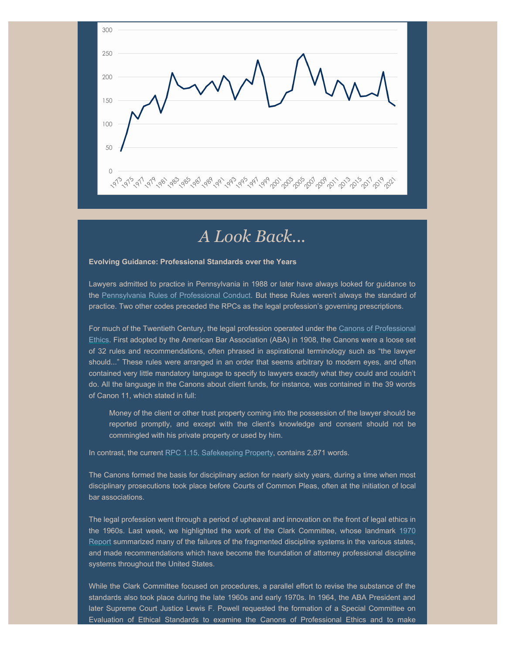

## *A Look Back...*

#### **Evolving Guidance: Professional Standards over the Years**

Lawyers admitted to practice in Pennsylvania in 1988 or later have always looked for guidance to the [Pennsylvania Rules of Professional Conduct](https://www.padisciplinaryboard.org/for-attorneys/rules/rule/3/the-rules-of-professional-conduct). But these Rules weren't always the standard of practice. Two other codes preceded the RPCs as the legal profession's governing prescriptions.

For much of the Twentieth Century, the legal profession operated under the [Canons of Professional](https://www.americanbar.org/content/dam/aba/administrative/professional_responsibility/1908_code.pdf) [Ethics](https://www.americanbar.org/content/dam/aba/administrative/professional_responsibility/1908_code.pdf). First adopted by the American Bar Association (ABA) in 1908, the Canons were a loose set of 32 rules and recommendations, often phrased in aspirational terminology such as "the lawyer should..." These rules were arranged in an order that seems arbitrary to modern eyes, and often contained very little mandatory language to specify to lawyers exactly what they could and couldn't do. All the language in the Canons about client funds, for instance, was contained in the 39 words of Canon 11, which stated in full:

Money of the client or other trust property coming into the possession of the lawyer should be reported promptly, and except with the client's knowledge and consent should not be commingled with his private property or used by him.

In contrast, the current [RPC 1.15, Safekeeping Property,](https://www.padisciplinaryboard.org/for-attorneys/rules/rule/3/the-rules-of-professional-conduct#rule-156) contains 2,871 words.

The Canons formed the basis for disciplinary action for nearly sixty years, during a time when most disciplinary prosecutions took place before Courts of Common Pleas, often at the initiation of local bar associations.

The legal profession went through a period of upheaval and innovation on the front of legal ethics in the 1960s. Last week, we highlighted the work of the Clark Committee, whose landmark [1970](https://www.americanbar.org/content/dam/aba/administrative/professional_responsibility/2011build/clark_report.pdf) [Report](https://www.americanbar.org/content/dam/aba/administrative/professional_responsibility/2011build/clark_report.pdf) summarized many of the failures of the fragmented discipline systems in the various states, and made recommendations which have become the foundation of attorney professional discipline systems throughout the United States.

While the Clark Committee focused on procedures, a parallel effort to revise the substance of the standards also took place during the late 1960s and early 1970s. In 1964, the ABA President and later Supreme Court Justice Lewis F. Powell requested the formation of a Special Committee on Evaluation of Ethical Standards to examine the Canons of Professional Ethics and to make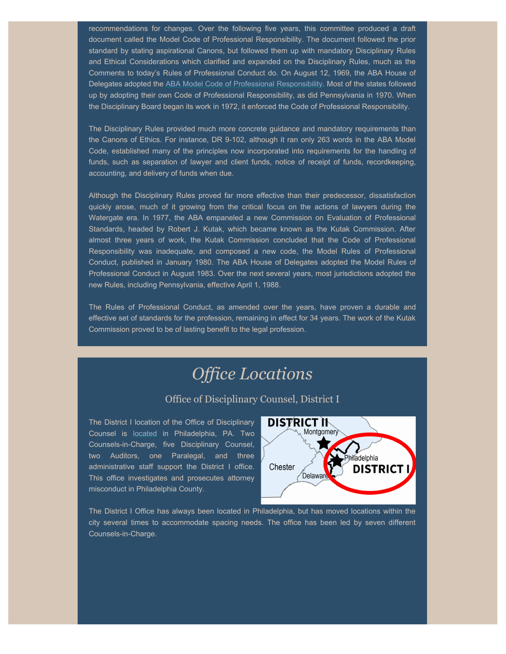recommendations for changes. Over the following five years, this committee produced a draft document called the Model Code of Professional Responsibility. The document followed the prior standard by stating aspirational Canons, but followed them up with mandatory Disciplinary Rules and Ethical Considerations which clarified and expanded on the Disciplinary Rules, much as the Comments to today's Rules of Professional Conduct do. On August 12, 1969, the ABA House of Delegates adopted the [ABA Model Code of Professional Responsibility.](https://www.americanbar.org/content/dam/aba/administrative/professional_responsibility/2011build/mod_code_prof_resp.pdf) Most of the states followed up by adopting their own Code of Professional Responsibility, as did Pennsylvania in 1970. When the Disciplinary Board began its work in 1972, it enforced the Code of Professional Responsibility.

The Disciplinary Rules provided much more concrete guidance and mandatory requirements than the Canons of Ethics. For instance, DR 9-102, although it ran only 263 words in the ABA Model Code, established many of the principles now incorporated into requirements for the handling of funds, such as separation of lawyer and client funds, notice of receipt of funds, recordkeeping, accounting, and delivery of funds when due.

Although the Disciplinary Rules proved far more effective than their predecessor, dissatisfaction quickly arose, much of it growing from the critical focus on the actions of lawyers during the Watergate era. In 1977, the ABA empaneled a new Commission on Evaluation of Professional Standards, headed by Robert J. Kutak, which became known as the Kutak Commission. After almost three years of work, the Kutak Commission concluded that the Code of Professional Responsibility was inadequate, and composed a new code, the Model Rules of Professional Conduct, published in January 1980. The ABA House of Delegates adopted the Model Rules of Professional Conduct in August 1983. Over the next several years, most jurisdictions adopted the new Rules, including Pennsylvania, effective April 1, 1988.

The Rules of Professional Conduct, as amended over the years, have proven a durable and effective set of standards for the profession, remaining in effect for 34 years. The work of the Kutak Commission proved to be of lasting benefit to the legal profession.

# *Office Locations*

#### Office of Disciplinary Counsel, District I

The District I location of the Office of Disciplinary Counsel is [located](https://www.padisciplinaryboard.org/about/contact/district-offices) in Philadelphia, PA. Two Counsels-in-Charge, five Disciplinary Counsel, two Auditors, one Paralegal, and three administrative staff support the District I office. This office investigates and prosecutes attorney misconduct in Philadelphia County.



The District I Office has always been located in Philadelphia, but has moved locations within the city several times to accommodate spacing needs. The office has been led by seven different Counsels-in-Charge.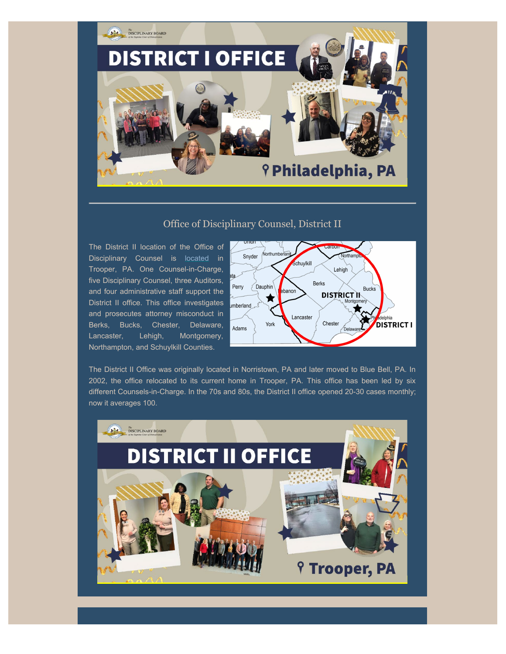

#### Office of Disciplinary Counsel, District II

The District II location of the Office of Disciplinary Counsel is [located](https://www.padisciplinaryboard.org/about/contact/district-offices) in Trooper, PA. One Counsel-in-Charge, five Disciplinary Counsel, three Auditors, and four administrative staff support the District II office. This office investigates and prosecutes attorney misconduct in Berks, Bucks, Chester, Delaware, Lancaster, Lehigh, Montgomery, Northampton, and Schuylkill Counties.



The District II Office was originally located in Norristown, PA and later moved to Blue Bell, PA. In 2002, the office relocated to its current home in Trooper, PA. This office has been led by six different Counsels-in-Charge. In the 70s and 80s, the District II office opened 20-30 cases monthly; now it averages 100.

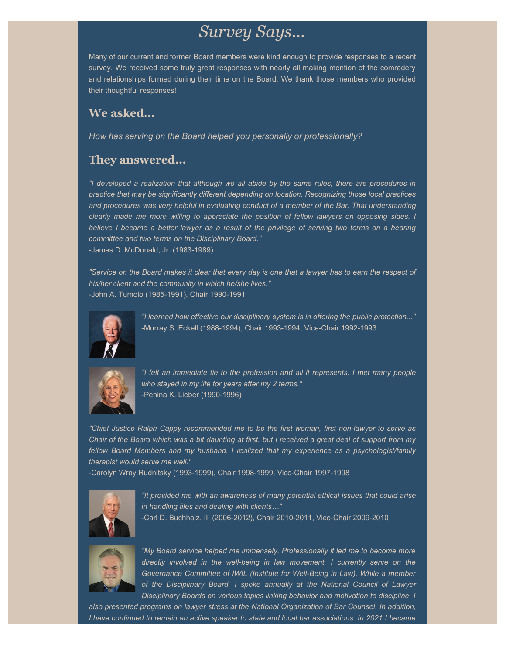### *Survey Says...*

Many of our current and former Board members were kind enough to provide responses to a recent survey. We received some truly great responses with nearly all making mention of the comradery and relationships formed during their time on the Board. We thank those members who provided their thoughtful responses!

### **We asked...**

*How has serving on the Board helped you personally or professionally?*

### **They answered...**

*"I developed a realization that although we all abide by the same rules, there are procedures in practice that may be significantly different depending on location. Recognizing those local practices and procedures was very helpful in evaluating conduct of a member of the Bar. That understanding clearly made me more willing to appreciate the position of fellow lawyers on opposing sides. I believe I became a better lawyer as a result of the privilege of serving two terms on a hearing committee and two terms on the Disciplinary Board."* -James D. McDonald, Jr. (1983-1989)

*"Service on the Board makes it clear that every day is one that a lawyer has to earn the respect of his/her client and the community in which he/she lives."* -John A. Tumolo (1985-1991), Chair 1990-1991



*"I learned how effective our disciplinary system is in offering the public protection..."* -Murray S. Eckell (1988-1994), Chair 1993-1994, Vice-Chair 1992-1993



*"I felt an immediate tie to the profession and all it represents. I met many people who stayed in my life for years after my 2 terms."* -Penina K. Lieber (1990-1996)

*"Chief Justice Ralph Cappy recommended me to be the first woman, first non-lawyer to serve as Chair of the Board which was a bit daunting at first, but I received a great deal of support from my fellow Board Members and my husband. I realized that my experience as a psychologist/family therapist would serve me well."*

-Carolyn Wray Rudnitsky (1993-1999), Chair 1998-1999, Vice-Chair 1997-1998



*"It provided me with an awareness of many potential ethical issues that could arise in handling files and dealing with clients…"*

-Carl D. Buchholz, III (2006-2012), Chair 2010-2011, Vice-Chair 2009-2010



*"My Board service helped me immensely. Professionally it led me to become more directly involved in the well-being in law movement. I currently serve on the Governance Committee of IWIL (Institute for Well-Being in Law). While a member of the Disciplinary Board, I spoke annually at the National Council of Lawyer Disciplinary Boards on various topics linking behavior and motivation to discipline. I*

*also presented programs on lawyer stress at the National Organization of Bar Counsel. In addition, I have continued to remain an active speaker to state and local bar associations. In 2021 I became*